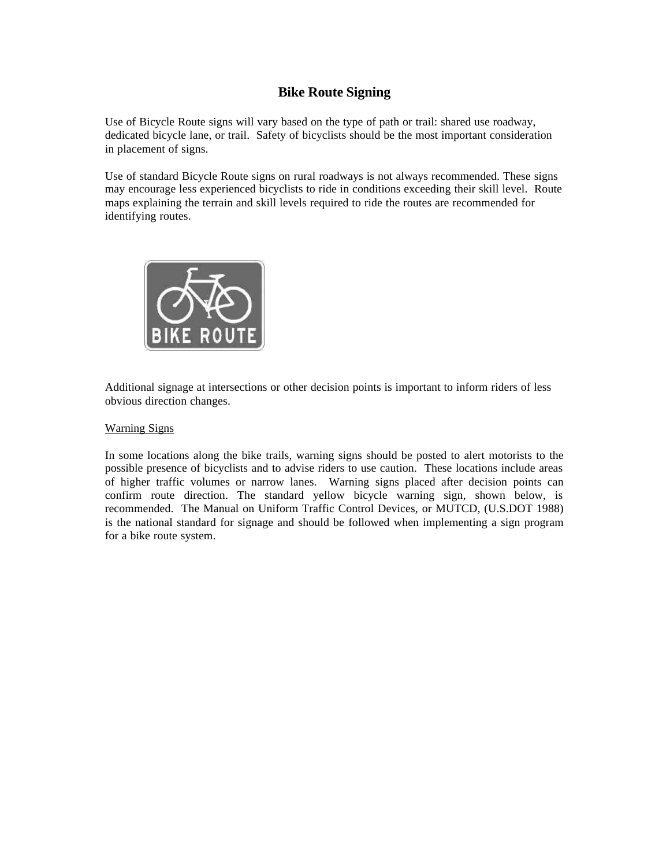## **Bike Route Signing**

Use of Bicycle Route signs will vary based on the type of path or trail: shared use roadway, dedicated bicycle lane, or trail. Safety of bicyclists should be the most important consideration in placement of signs.

Use of standard Bicycle Route signs on rural roadways is not always recommended. These signs may encourage less experienced bicyclists to ride in conditions exceeding their skill level. Route maps explaining the terrain and skill levels required to ride the routes are recommended for identifying routes.



Additional signage at intersections or other decision points is important to inform riders of less obvious direction changes.

## Warning Signs

In some locations along the bike trails, warning signs should be posted to alert motorists to the possible presence of bicyclists and to advise riders to use caution. These locations include areas of higher traffic volumes or narrow lanes. Warning signs placed after decision points can confirm route direction. The standard yellow bicycle warning sign, shown below, is recommended. The Manual on Uniform Traffic Control Devices, or MUTCD, (U.S.DOT 1988) is the national standard for signage and should be followed when implementing a sign program for a bike route system.